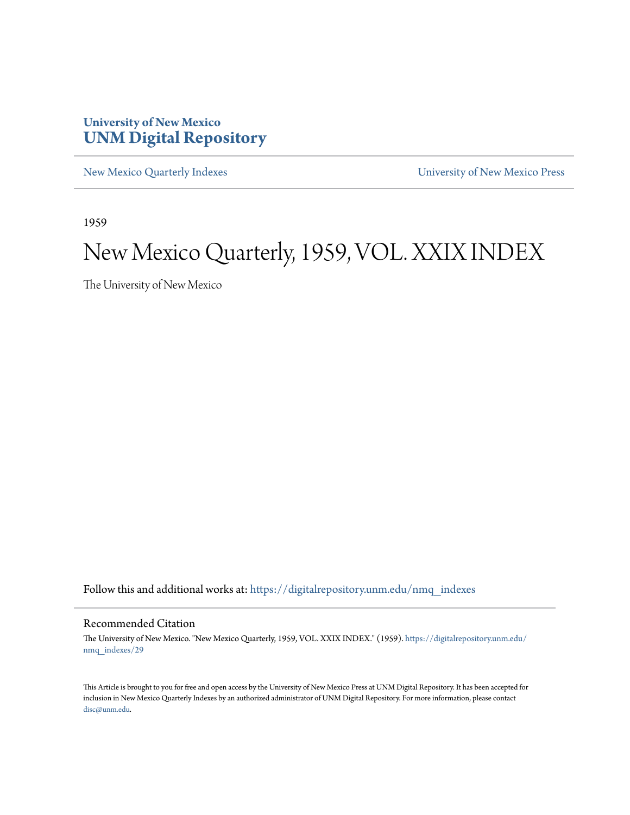# **University of New Mexico [UNM Digital Repository](https://digitalrepository.unm.edu?utm_source=digitalrepository.unm.edu%2Fnmq_indexes%2F29&utm_medium=PDF&utm_campaign=PDFCoverPages)**

[New Mexico Quarterly Indexes](https://digitalrepository.unm.edu/nmq_indexes?utm_source=digitalrepository.unm.edu%2Fnmq_indexes%2F29&utm_medium=PDF&utm_campaign=PDFCoverPages) [University of New Mexico Press](https://digitalrepository.unm.edu/press?utm_source=digitalrepository.unm.edu%2Fnmq_indexes%2F29&utm_medium=PDF&utm_campaign=PDFCoverPages)

1959

# New Mexico Quarterly, 1959, VOL. XXIX INDEX

The University of New Mexico

Follow this and additional works at: [https://digitalrepository.unm.edu/nmq\\_indexes](https://digitalrepository.unm.edu/nmq_indexes?utm_source=digitalrepository.unm.edu%2Fnmq_indexes%2F29&utm_medium=PDF&utm_campaign=PDFCoverPages)

## Recommended Citation

The University of New Mexico. "New Mexico Quarterly, 1959, VOL. XXIX INDEX." (1959). [https://digitalrepository.unm.edu/](https://digitalrepository.unm.edu/nmq_indexes/29?utm_source=digitalrepository.unm.edu%2Fnmq_indexes%2F29&utm_medium=PDF&utm_campaign=PDFCoverPages) [nmq\\_indexes/29](https://digitalrepository.unm.edu/nmq_indexes/29?utm_source=digitalrepository.unm.edu%2Fnmq_indexes%2F29&utm_medium=PDF&utm_campaign=PDFCoverPages)

This Article is brought to you for free and open access by the University of New Mexico Press at UNM Digital Repository. It has been accepted for inclusion in New Mexico Quarterly Indexes by an authorized administrator of UNM Digital Repository. For more information, please contact [disc@unm.edu](mailto:disc@unm.edu).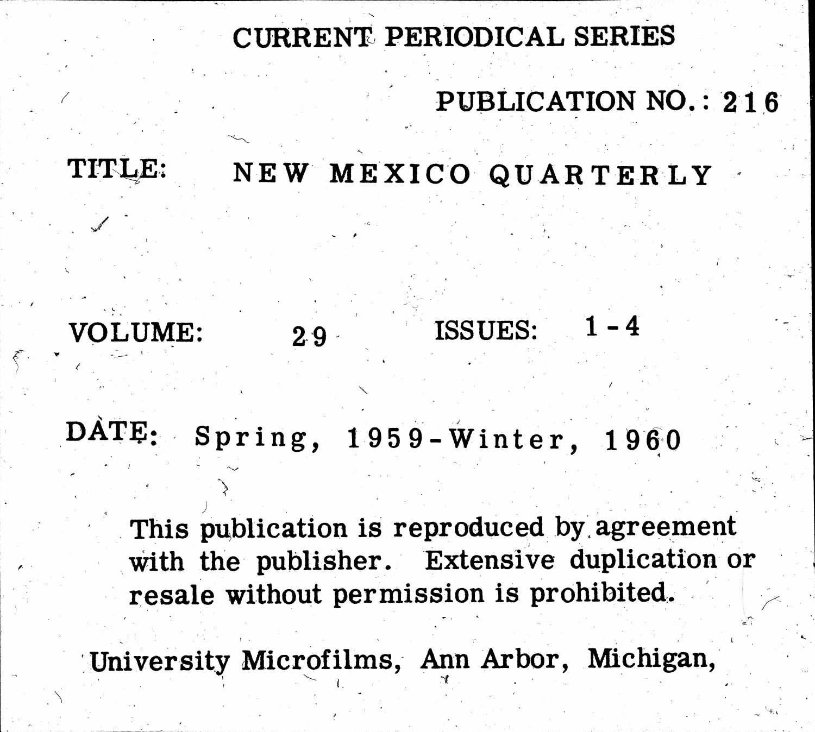TITLE:

 $29$ 

# VOLUME:

DATE: Spring, 1959-Winter, 1960

resale without permission is prohibited.

# CURRENT PERIODICAL SERIES

# PUBLICATION NO.: 216

 $1 - 4$ 

# NEW MEXICO QUARTERLY

# ISSUES:

# This publication is reproduced by agreement with the publisher. Extensive duplication or

University Microfilms, Ann Arbor, Michigan,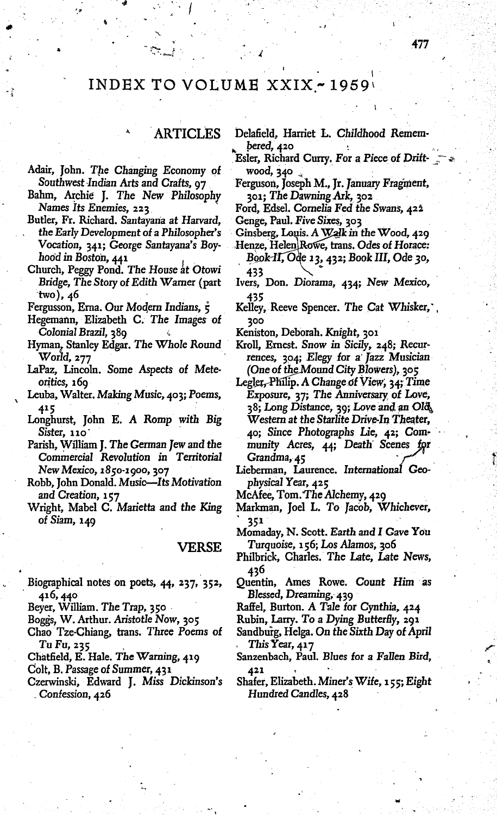# INDEX TO VOLUME  $XXIX - 1959$

# **ARTICLES**

- Adair, John. The Changing Economy of Southwest Indian Arts and Crafts, 97
- Bahm, Archie J. The New Philosophy Names Its Enemies, 223
- Butler, Fr. Richard. Santayana at Harvard, the Early Development of a Philosopher's Vocation, 341; George Santayana's Boyhood in Boston, 441
- Church, Peggy Pond. The House at Otowi Bridge, The Story of Edith Warner (part  $two)$ , 46
- Fergusson, Erna. Our Modern Indians,  $\dot{\tau}$
- Hegemann, Elizabeth C. The Images of Colonial Brazil, 389
- Hyman, Stanley Edgar, The Whole Round World, 277
- LaPaz, Lincoln. Some Aspects of Meteoritics, 169
- Leuba, Walter. Making Music, 403; Poems, 415
- Longhurst, John E. A Romp with Big  $Sister, 110$
- Parish, William J. The German Jew and the Commercial Revolution in Territorial New Mexico, 1850-1900, 307
- Robb, John Donald. Music-Its Motivation and Creation, 157
- Wright, Mabel C. Marietta and the King of Siam, 149

**VERSE** 

- Biographical notes on poets, 44, 237, 352, 416, 440
- Beyer, William. The Trap, 350

Boggs, W. Arthur. Aristotle Now, 305

- Chao Tze-Chiang, trans. Three Poems of Tu Fu, 235
- Chatfield, E. Hale. The Warning, 419
- Colt, B. Passage of Summer, 431
- Czerwinski, Edward J. Miss Dickinson's Confession, 426

Delafield, Harriet L. Childhood Remembered, 420

- Esler, Richard Curry, For a Piece of Driftwood, 340
- Ferguson, Joseph M., Jr. January Fragment, 301; The Dawning Ark, 302
- Ford, Edsel. Cornelia Fed the Swans, 422 Genge, Paul. Five Sixes, 303
- 
- Ginsberg, Louis. A Walk in the Wood, 429
- Henze, Helen Rowe, trans. Odes of Horace: Book-II, Ode 13, 432; Book III, Ode 30,
- 433 Ivers, Don. Diorama, 434; New Mexico, 435
- Kelley, Reeve Spencer. The Cat Whisker, 300

Keniston, Deborah. Knight, 301

- Kroll, Ernest. Snow in Sicily, 248; Recurrences, 304; Elegy for a Jazz Musician (One of the Mound City Blowers), 305
- Legler, Philip. A Change of View, 34; Time Exposure, 37; The Anniversary of Love, 38; Long Distance, 39; Love and an Old Western at the Starlite Drive-In Theater, 40; Since Photographs Lie, 42; Community Acres, 44; Death Scenes for Grandma, 45
- Lieberman, Laurence. International Geophysical Year, 425
- McAfee, Tom. The Alchemy, 429
- Markman, Joel L. To Jacob, Whichever, 351
- Momaday, N. Scott. Earth and I Gave You Turquoise, 156; Los Alamos, 206
- Philbrick, Charles. The Late, Late News, 436
- Quentin, Ames Rowe. Count Him as Blessed, Dreaming, 439
- Raffel, Burton. A Tale for Cynthia, 424
- Rubin, Larry. To a Dying Butterfly, 291
- Sandburg, Helga. On the Sixth Day of April This Year, 417
- Sanzenbach, Paul. Blues for a Fallen Bird, 421
- Shafer, Elizabeth. Miner's Wife, 155; Eight Hundred Candles, 428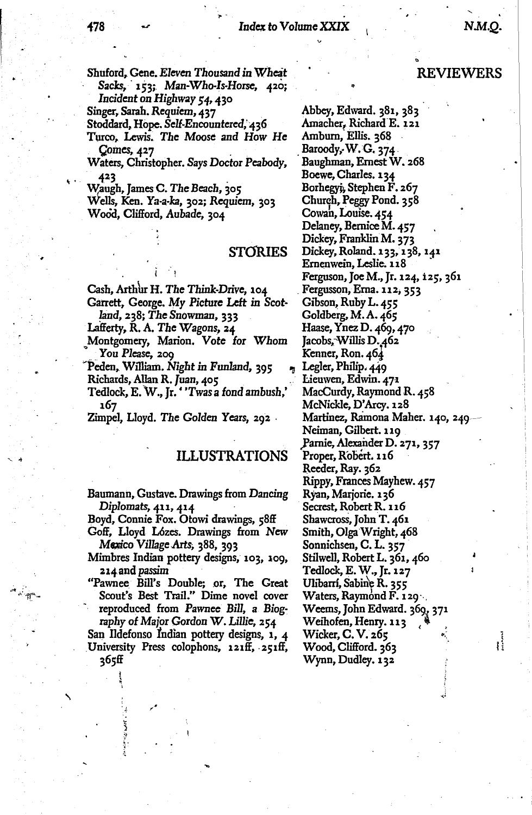Shuford, Gene. Eleven Thousand in Wheat Sacks, 153; Man-Who-Is-Horse, 420; Incident on Highway 54, 430

Singer, Sarah. Requiem, 437

Stoddard, Hope. Self-Encountered, 436

Turco, Lewis. The Moose and How He Comes, 427

Waters, Christopher. Says Doctor Peabody, 423

Waugh, James C. The Beach, 305 Wells, Ken. Ya-a-ka, 302; Requiem, 303 Wood, Clifford, Aubade, 304

## **STORIES**

Cash, Arthur H. The Think-Drive, 104

Garrett, George. My Picture Left in Scotland, 238; The Snowman, 333

Lafferty, R. A. The Wagons, 24

Montgomery, Marion. Vote for Whom You Please, 209

Peden, William. Night in Funland, 395 Richards, Allan R. Juan, 405

Tedlock, E. W., Jr. 'Twas a fond ambush,' 167

Zimpel, Lloyd. The Golden Years, 292

## **ILLUSTRATIONS**

Baumann, Gustave. Drawings from Dancing Diplomats, 411, 414

Boyd, Connie Fox. Otowi drawings, 58ff

Goff, Lloyd Lózes. Drawings from New Mexico Village Arts, 388, 393

Mimbres Indian pottery designs, 103, 109, 214 and passim

"Pawnee Bill's Double; or, The Great Scout's Best Trail." Dime novel cover reproduced from Pawnee Bill, a Biography of Major Gordon W. Lillie, 254

San Ildefonso Indian pottery designs, 1, 4 University Press colophons, 121ff, 251ff, 365ff

## **REVIEWERS**

Abbey, Edward. 381, 383 Amacher, Richard E. 121 Amburn, Ellis. 368 Baroody, W. G. 374 Baughman, Ernest W. 268 Boewe, Charles. 134 Borhegyi, Stephen F. 267 Church, Peggy Pond. 358 Cowan, Louise. 454 Delaney, Bernice M. 457 Dickey, Franklin M. 373 Dickey, Roland. 133, 138, 141 Ernenwein, Leslie. 118 Ferguson, Joe M., Jr. 124, 125, 361 Fergusson, Erna. 112, 353 Gibson, Ruby L. 455 Goldberg, M.A. 465 Haase, Ynez D. 469, 470 Jacobs, Willis D. 462 Kenner, Ron. 464 Legler, Philip. 449 Lieuwen, Edwin. 471 MacCurdy, Raymond R. 458 McNickle, D'Arcy. 128 Martinez, Ramona Maher. 140, 240-Neiman, Gilbert. 119 Parnie, Alexander D. 271, 357 Proper, Robert. 116 Reeder, Ray. 362 Rippy, Frances Mayhew. 457 Ryan, Marjorie. 136 Secrest, Robert R. 116 Shawcross, John T. 461 Smith, Olga Wright, 468 Sonnichsen, C. L. 357 Stilwell, Robert L. 361, 460 Tedlock, E. W., Jr. 127 Ulibarrí, Sabine R. 355 Waters, Raymond F. 129. Weems, John Edward. 369, 371 Weihofen, Henry. 113 Wicker, C.V. 265 Wood, Clifford. 363 Wynn, Dudley. 132

i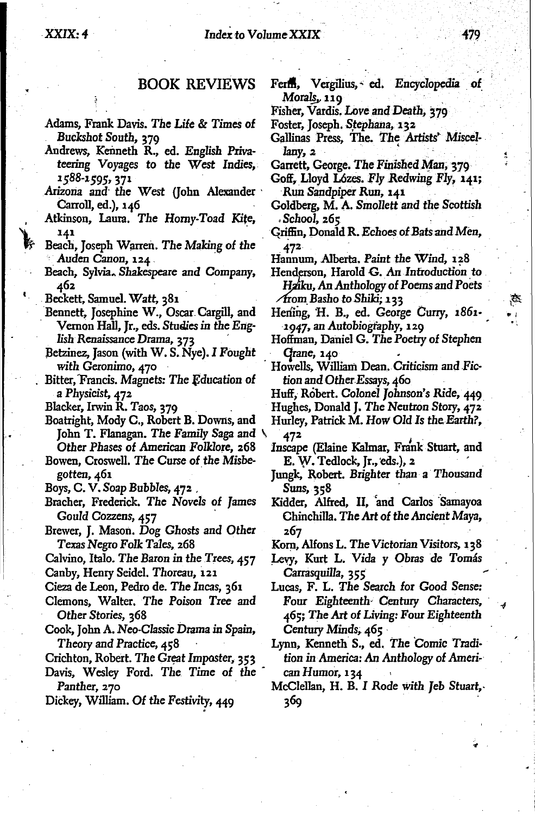## **BOOK REVIEWS**

- Adams, Frank Davis. The Life & Times of Buckshot South, 379
- Andrews, Kenneth R., ed. English Privateering Voyages to the West Indies, 1588-1595, 371
- Arizona and the West (John Alexander Carroll, ed.), 146
- Atkinson, Laura. The Horny-Toad Kite, 141
- Beach, Joseph Warren. The Making of the Auden Canon, 124.
- Beach, Sylvia. Shakespeare and Company, 462
- Beckett, Samuel. Watt, 381
- Bennett, Josephine W., Oscar Cargill, and Vernon Hall, Jr., eds. Studies in the English Renaissance Drama, 373
- Betzinez, Jason (with W. S. Nye). I Fought with Geronimo, 470
- Bitter, Francis. Magnets: The Education of a Physicist, 472
- Blacker, Irwin R. Taos, 379
- Boatright, Mody C., Robert B. Downs, and John T. Flanagan. The Family Saga and Other Phases of American Folklore, 268
- Bowen, Croswell. The Curse of the Misbegotten, 461
- Boys, C. V. Soap Bubbles, 472.
- Bracher, Frederick. The Novels of James Gould Cozzens, 457
- Brewer, J. Mason. Dog Ghosts and Other Texas Negro Folk Tales, 268
- Calvino, Italo. The Baron in the Trees, 457
- Canby, Henry Seidel. Thoreau, 121
- Cieza de Leon, Pedro de. The Incas, 361
- Clemons, Walter. The Poison Tree and Other Stories, 368
- Cook, John A. Neo-Classic Drama in Spain, Theory and Practice, 458
- Crichton, Robert. The Great Imposter, 353
- Davis, Wesley Ford. The Time of the Panther, 270
- Dickey, William. Of the Festivity, 449
- Ferm, Vergilius, ed. Encyclopedia of Morals, 119
- Fisher, Vardis. Love and Death, 379
- Foster, Joseph. Stephana, 132
- Gallinas Press, The. The Artists' Miscellany, 2
- Garrett, George. The Finished Man, 379
- Goff, Lloyd Lózes. Fly Redwing Fly, 141; Run Sandpiper Run, 141
- Goldberg, M. A. Smollett and the Scottish  $. School, 265$
- Griffin, Donald R. Echoes of Bats and Men, 472
- Hannum, Alberta, Paint the Wind, 128
- Henderson, Harold G. An Introduction to Hziku, An Anthology of Poems and Poets Arom Basho to Shiki; 133
- Hening, H. B., ed. George Curry, 1861-1947, an Autobiography, 129
- Hoffman, Daniel G. The Poetry of Stephen Grane, 140
- Howells, William Dean. Criticism and Fiction and Other Essays, 460
- Huff, Robert. Colonel Johnson's Ride, 449
- Hughes, Donald J. The Neutron Story, 472
- Hurley, Patrick M. How Old Is the Earth?, 472
- Inscape (Elaine Kalmar, Frank Stuart, and E. W. Tedlock, Jr., eds.), 2
- Jungk, Robert. Brighter than a Thousand Suns, 358
- Kidder, Alfred, II, and Carlos Samayoa Chinchilla. The Art of the Ancient Maya, 267
- Korn, Alfons L. The Victorian Visitors, 138
- Levy, Kurt L. Vida y Obras de Tomás Carrasquilla, 355
- Lucas, F. L. The Search for Good Sense: Four Eighteenth Century Characters, 465; The Art of Living: Four Eighteenth Century Minds, 465
- Lynn, Kenneth S., ed. The Comic Tradition in America: An Anthology of American Humor, 134
- McClellan, H. B. I Rode with Jeb Stuart, 369